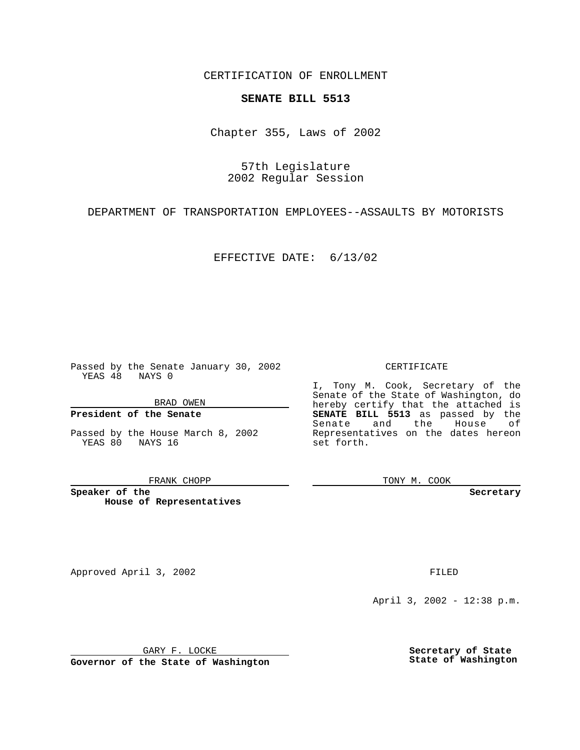CERTIFICATION OF ENROLLMENT

## **SENATE BILL 5513**

Chapter 355, Laws of 2002

57th Legislature 2002 Regular Session

DEPARTMENT OF TRANSPORTATION EMPLOYEES--ASSAULTS BY MOTORISTS

EFFECTIVE DATE: 6/13/02

Passed by the Senate January 30, 2002 YEAS 48 NAYS 0

BRAD OWEN

## **President of the Senate**

Passed by the House March 8, 2002 YEAS 80 NAYS 16

## FRANK CHOPP

**Speaker of the House of Representatives**

Approved April 3, 2002 **FILED** 

April 3, 2002 - 12:38 p.m.

GARY F. LOCKE

**Governor of the State of Washington**

**Secretary of State State of Washington**

CERTIFICATE

I, Tony M. Cook, Secretary of the Senate of the State of Washington, do hereby certify that the attached is **SENATE BILL 5513** as passed by the Senate and the House of Representatives on the dates hereon set forth.

TONY M. COOK

**Secretary**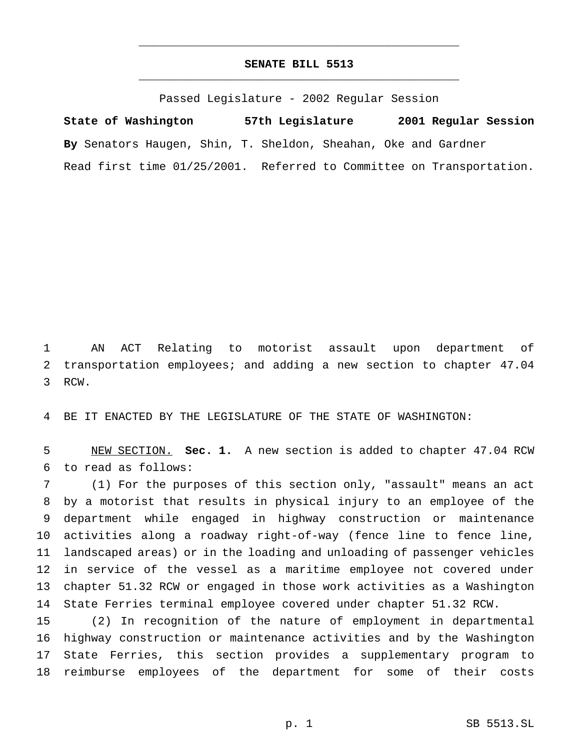## **SENATE BILL 5513** \_\_\_\_\_\_\_\_\_\_\_\_\_\_\_\_\_\_\_\_\_\_\_\_\_\_\_\_\_\_\_\_\_\_\_\_\_\_\_\_\_\_\_\_\_\_\_

\_\_\_\_\_\_\_\_\_\_\_\_\_\_\_\_\_\_\_\_\_\_\_\_\_\_\_\_\_\_\_\_\_\_\_\_\_\_\_\_\_\_\_\_\_\_\_

Passed Legislature - 2002 Regular Session

**State of Washington 57th Legislature 2001 Regular Session By** Senators Haugen, Shin, T. Sheldon, Sheahan, Oke and Gardner Read first time 01/25/2001. Referred to Committee on Transportation.

 AN ACT Relating to motorist assault upon department of transportation employees; and adding a new section to chapter 47.04 RCW.

BE IT ENACTED BY THE LEGISLATURE OF THE STATE OF WASHINGTON:

 NEW SECTION. **Sec. 1.** A new section is added to chapter 47.04 RCW to read as follows:

 (1) For the purposes of this section only, "assault" means an act by a motorist that results in physical injury to an employee of the department while engaged in highway construction or maintenance activities along a roadway right-of-way (fence line to fence line, landscaped areas) or in the loading and unloading of passenger vehicles in service of the vessel as a maritime employee not covered under chapter 51.32 RCW or engaged in those work activities as a Washington State Ferries terminal employee covered under chapter 51.32 RCW.

 (2) In recognition of the nature of employment in departmental highway construction or maintenance activities and by the Washington State Ferries, this section provides a supplementary program to reimburse employees of the department for some of their costs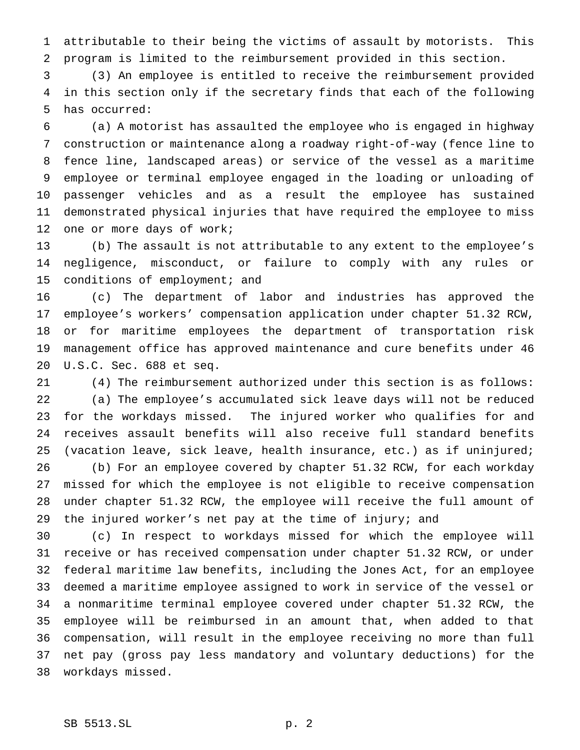attributable to their being the victims of assault by motorists. This program is limited to the reimbursement provided in this section.

 (3) An employee is entitled to receive the reimbursement provided in this section only if the secretary finds that each of the following has occurred:

 (a) A motorist has assaulted the employee who is engaged in highway construction or maintenance along a roadway right-of-way (fence line to fence line, landscaped areas) or service of the vessel as a maritime employee or terminal employee engaged in the loading or unloading of passenger vehicles and as a result the employee has sustained demonstrated physical injuries that have required the employee to miss one or more days of work;

 (b) The assault is not attributable to any extent to the employee's negligence, misconduct, or failure to comply with any rules or conditions of employment; and

 (c) The department of labor and industries has approved the employee's workers' compensation application under chapter 51.32 RCW, or for maritime employees the department of transportation risk management office has approved maintenance and cure benefits under 46 U.S.C. Sec. 688 et seq.

 (4) The reimbursement authorized under this section is as follows: (a) The employee's accumulated sick leave days will not be reduced for the workdays missed. The injured worker who qualifies for and receives assault benefits will also receive full standard benefits (vacation leave, sick leave, health insurance, etc.) as if uninjured; (b) For an employee covered by chapter 51.32 RCW, for each workday missed for which the employee is not eligible to receive compensation under chapter 51.32 RCW, the employee will receive the full amount of the injured worker's net pay at the time of injury; and

 (c) In respect to workdays missed for which the employee will receive or has received compensation under chapter 51.32 RCW, or under federal maritime law benefits, including the Jones Act, for an employee deemed a maritime employee assigned to work in service of the vessel or a nonmaritime terminal employee covered under chapter 51.32 RCW, the employee will be reimbursed in an amount that, when added to that compensation, will result in the employee receiving no more than full net pay (gross pay less mandatory and voluntary deductions) for the workdays missed.